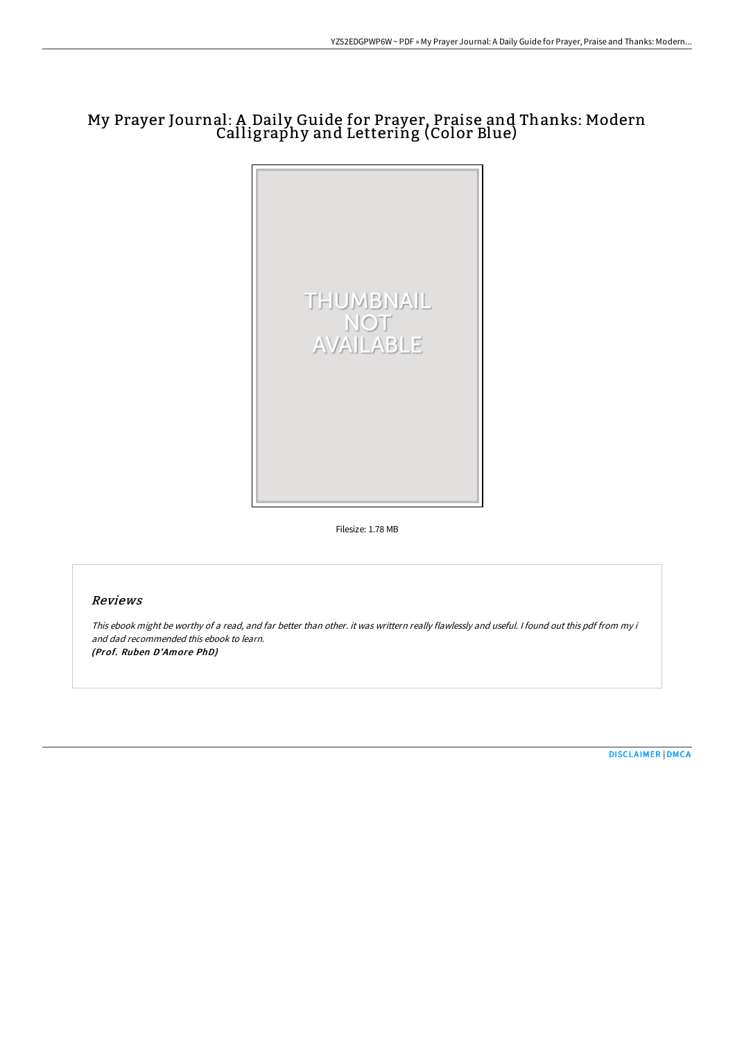# My Prayer Journal: A Daily Guide for Prayer, Praise and Thanks: Modern Calligraphy and Lettering (Color Blue)



Filesize: 1.78 MB

## Reviews

This ebook might be worthy of <sup>a</sup> read, and far better than other. it was writtern really flawlessly and useful. <sup>I</sup> found out this pdf from my i and dad recommended this ebook to learn. (Prof. Ruben D'Amore PhD)

[DISCLAIMER](http://albedo.media/disclaimer.html) | [DMCA](http://albedo.media/dmca.html)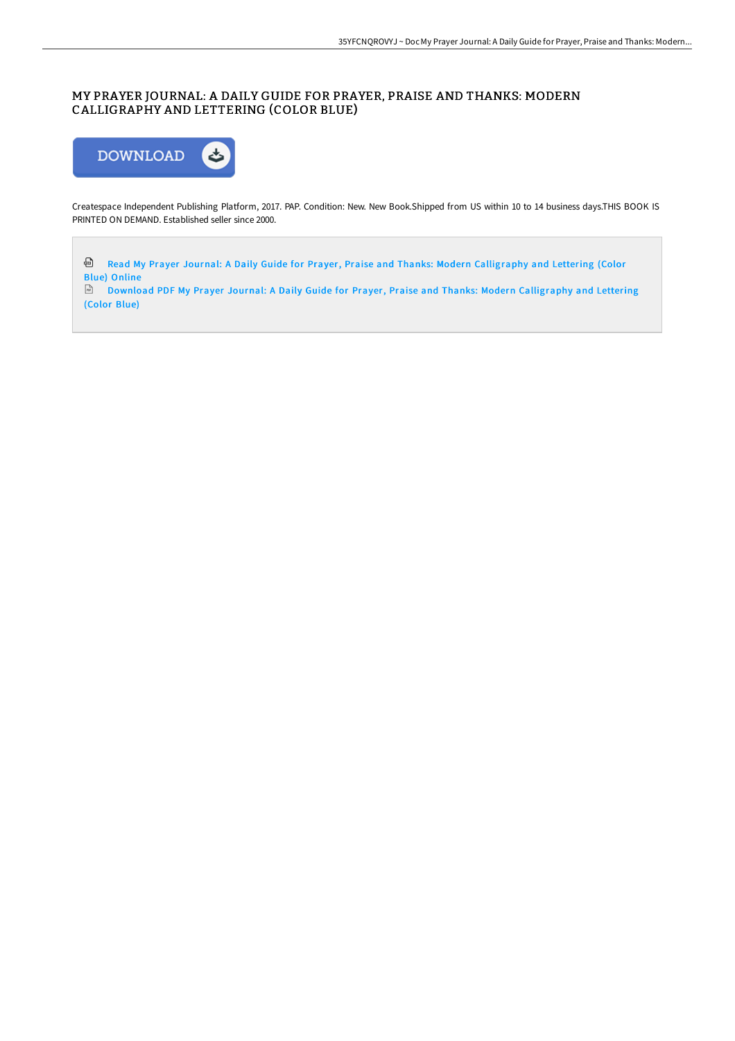### MY PRAYER JOURNAL: A DAILY GUIDE FOR PRAYER, PRAISE AND THANKS: MODERN CALLIGRAPHY AND LETTERING (COLOR BLUE)



Createspace Independent Publishing Platform, 2017. PAP. Condition: New. New Book.Shipped from US within 10 to 14 business days.THIS BOOK IS PRINTED ON DEMAND. Established seller since 2000.

Read My Prayer Journal: A Daily Guide for Prayer, Praise and Thanks: Modern [Calligraphy](http://albedo.media/my-prayer-journal-a-daily-guide-for-prayer-prais-15.html) and Lettering (Color Blue) Online

Download PDF My Prayer Journal: A Daily Guide for Prayer, Praise and Thanks: Modern [Calligraphy](http://albedo.media/my-prayer-journal-a-daily-guide-for-prayer-prais-15.html) and Lettering (Color Blue)